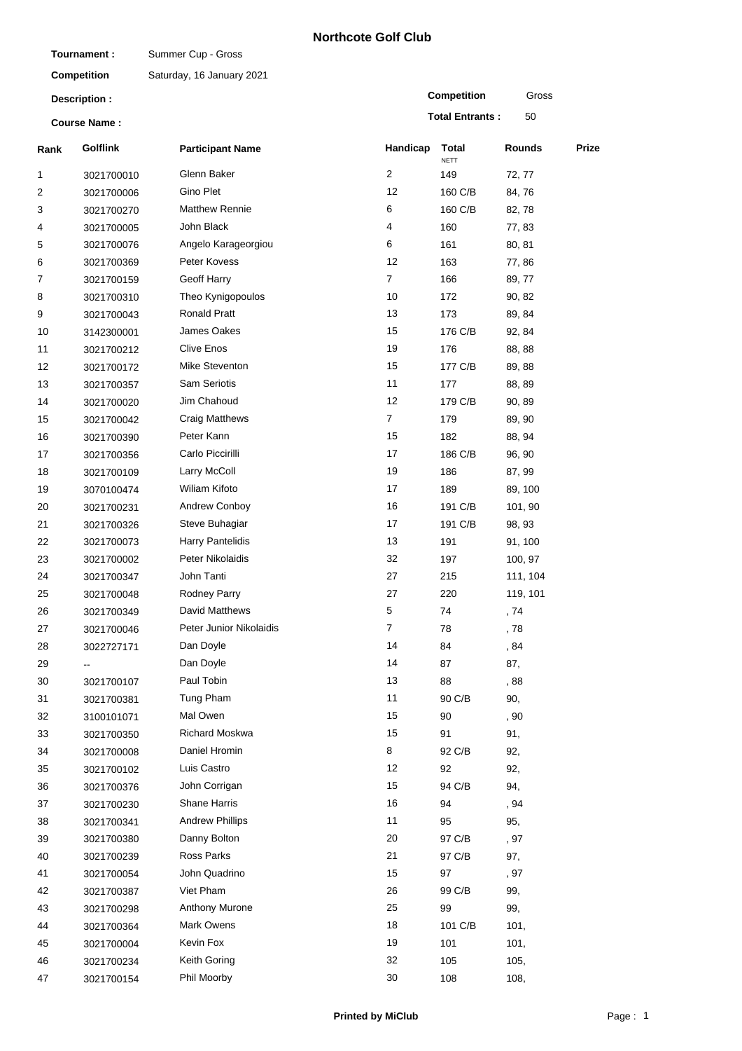## **Northcote Golf Club**

| Tournament:                          |                    | Summer Cup - Gross        |                     |                        |                   |       |
|--------------------------------------|--------------------|---------------------------|---------------------|------------------------|-------------------|-------|
|                                      | <b>Competition</b> | Saturday, 16 January 2021 |                     |                        |                   |       |
| Description :<br><b>Course Name:</b> |                    |                           |                     | Competition            | Gross             |       |
|                                      |                    |                           |                     | <b>Total Entrants:</b> | 50                |       |
| Rank                                 | <b>Golflink</b>    | <b>Participant Name</b>   | Handicap            | Total<br><b>NETT</b>   | Rounds            | Prize |
| 1                                    | 3021700010         | Glenn Baker               | $\overline{c}$      | 149                    | 72, 77            |       |
| 2                                    | 3021700006         | Gino Plet                 | 12                  | 160 C/B                | 84,76             |       |
| 3                                    | 3021700270         | <b>Matthew Rennie</b>     | 6                   | 160 C/B                | 82, 78            |       |
| 4                                    | 3021700005         | John Black                | 4                   | 160                    | 77,83             |       |
| 5                                    | 3021700076         | Angelo Karageorgiou       | 6                   | 161                    | 80, 81            |       |
| 6                                    | 3021700369         | Peter Kovess              | 12                  | 163                    | 77,86             |       |
| 7                                    | 3021700159         | Geoff Harry               | $\overline{7}$      | 166                    | 89, 77            |       |
| 8                                    | 3021700310         | Theo Kynigopoulos         | 10                  | 172                    | 90, 82            |       |
| 9                                    | 3021700043         | <b>Ronald Pratt</b>       | 13                  | 173                    | 89, 84            |       |
| 10                                   | 3142300001         | James Oakes               | 15                  | 176 C/B                | 92, 84            |       |
| 11                                   | 3021700212         | <b>Clive Enos</b>         | 19                  | 176                    | 88, 88            |       |
| 12                                   | 3021700172         | Mike Steventon            | 15                  | 177 C/B                | 89, 88            |       |
| 13                                   | 3021700357         | <b>Sam Seriotis</b>       | 11                  | 177                    | 88, 89            |       |
| 14                                   | 3021700020         | Jim Chahoud               | 12                  | 179 C/B                | 90, 89            |       |
| 15                                   | 3021700042         | Craig Matthews            | $\overline{7}$      | 179                    | 89, 90            |       |
| 16                                   | 3021700390         | Peter Kann                | 15                  | 182                    | 88, 94            |       |
| 17                                   | 3021700356         | Carlo Piccirilli          | 17                  | 186 C/B                | 96, 90            |       |
| 18                                   | 3021700109         | Larry McColl              | 19                  | 186                    | 87, 99            |       |
| 19                                   | 3070100474         | Wiliam Kifoto             | 17                  | 189                    | 89, 100           |       |
| 20                                   |                    | Andrew Conboy             | 16                  | 191 C/B                | 101, 90           |       |
| 21                                   | 3021700231         | Steve Buhagiar            | 17                  | 191 C/B                |                   |       |
| 22                                   | 3021700326         | Harry Pantelidis          | 13                  | 191                    | 98, 93<br>91, 100 |       |
|                                      | 3021700073         | Peter Nikolaidis          | 32                  |                        |                   |       |
| 23                                   | 3021700002         | John Tanti                | 27                  | 197                    | 100, 97           |       |
| 24                                   | 3021700347         |                           |                     | 215                    | 111, 104          |       |
| 25                                   | 3021700048         | <b>Rodney Parry</b>       | 27                  | 220                    | 119, 101          |       |
| 26                                   | 3021700349         | David Matthews            | 5<br>$\overline{7}$ | 74                     | , 74              |       |
| 27                                   | 3021700046         | Peter Junior Nikolaidis   |                     | 78                     | , 78              |       |
| 28                                   | 3022727171         | Dan Doyle                 | 14                  | 84                     | , 84              |       |
| 29                                   | --                 | Dan Doyle                 | 14                  | 87                     | 87,               |       |
| 30                                   | 3021700107         | Paul Tobin                | 13                  | 88                     | , 88              |       |
| 31                                   | 3021700381         | Tung Pham                 | 11                  | 90 C/B                 | 90,               |       |
| 32                                   | 3100101071         | Mal Owen                  | 15                  | 90                     | , 90              |       |
| 33                                   | 3021700350         | Richard Moskwa            | 15                  | 91                     | 91,               |       |
| 34                                   | 3021700008         | Daniel Hromin             | 8                   | 92 C/B                 | 92,               |       |
| 35                                   | 3021700102         | Luis Castro               | 12                  | 92                     | 92,               |       |
| 36                                   | 3021700376         | John Corrigan             | 15                  | 94 C/B                 | 94,               |       |
| 37                                   | 3021700230         | <b>Shane Harris</b>       | 16                  | 94                     | , 94              |       |
| 38                                   | 3021700341         | <b>Andrew Phillips</b>    | 11                  | 95                     | 95,               |       |
| 39                                   | 3021700380         | Danny Bolton              | 20                  | 97 C/B                 | , 97              |       |
| 40                                   | 3021700239         | Ross Parks                | 21                  | 97 C/B                 | 97,               |       |
| 41                                   | 3021700054         | John Quadrino             | 15                  | 97                     | , 97              |       |
| 42                                   | 3021700387         | Viet Pham                 | 26                  | 99 C/B                 | 99,               |       |
| 43                                   | 3021700298         | Anthony Murone            | 25                  | 99                     | 99,               |       |
| 44                                   | 3021700364         | Mark Owens                | 18                  | 101 C/B                | 101,              |       |
| 45                                   | 3021700004         | Kevin Fox                 | 19                  | 101                    | 101,              |       |
| 46                                   | 3021700234         | Keith Goring              | 32                  | 105                    | 105,              |       |
| 47                                   | 3021700154         | Phil Moorby               | 30                  | 108                    | 108,              |       |